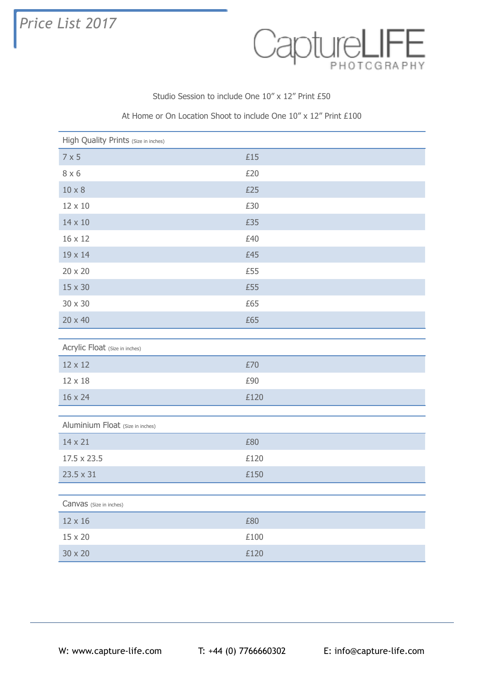## *Price List 2017*



Studio Session to include One 10" x 12" Print £50

## At Home or On Location Shoot to include One 10" x 12" Print £100

| High Quality Prints (Size in inches) |              |
|--------------------------------------|--------------|
| $7 \times 5$                         | £15          |
| $8 \times 6$                         | £20          |
| $10 \times 8$                        | £25          |
| 12 x 10                              | £30          |
| 14 x 10                              | £35          |
| 16 x 12                              | £40          |
| 19 x 14                              | £45          |
| 20 x 20                              | £55          |
| 15 x 30                              | £55          |
| 30 x 30                              | £65          |
| 20 x 40                              | £65          |
|                                      |              |
| Acrylic Float (Size in inches)       |              |
| 12 x 12                              | £70          |
| 12 x 18                              | £90          |
| 16 x 24                              | £120         |
|                                      |              |
| Aluminium Float (Size in inches)     |              |
| 14 x 21                              | £80          |
| 17.5 x 23.5                          | £120         |
| 23.5 x 31                            | £150         |
|                                      |              |
| Canvas (Size in inches)              |              |
| 12 x 16                              | £80          |
| 15 x 20                              | $\pounds100$ |
| 30 x 20                              | £120         |